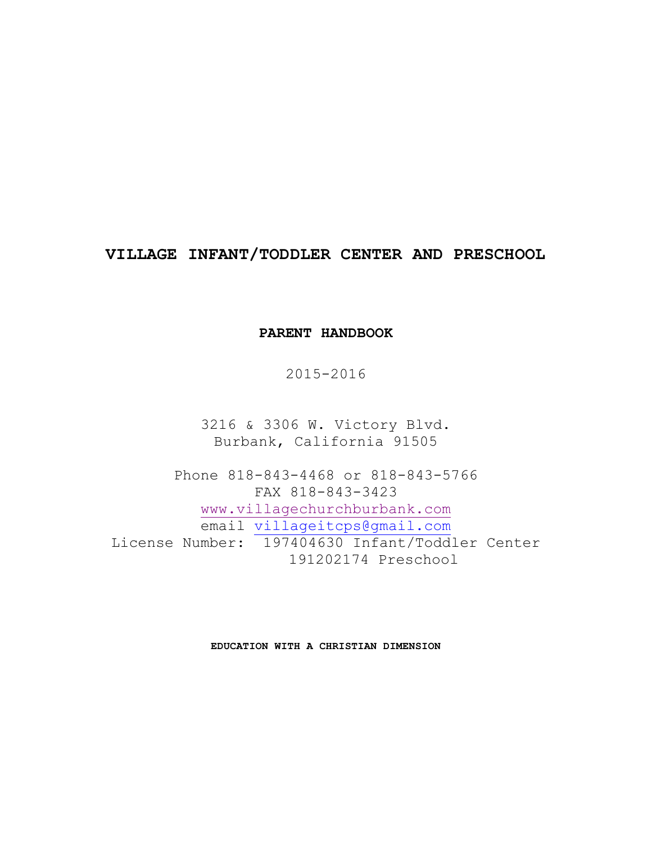# **VILLAGE INFANT/TODDLER CENTER AND PRESCHOOL**

## **PARENT HANDBOOK**

2015-2016

3216 & 3306 W. Victory Blvd. Burbank, California 91505

Phone 818-843-4468 or 818-843-5766 FAX 818-843-3423 www.villagechurchburbank.com email villageitcps@gmail.com License Number: 197404630 Infant/Toddler Center 191202174 Preschool

**EDUCATION WITH A CHRISTIAN DIMENSION**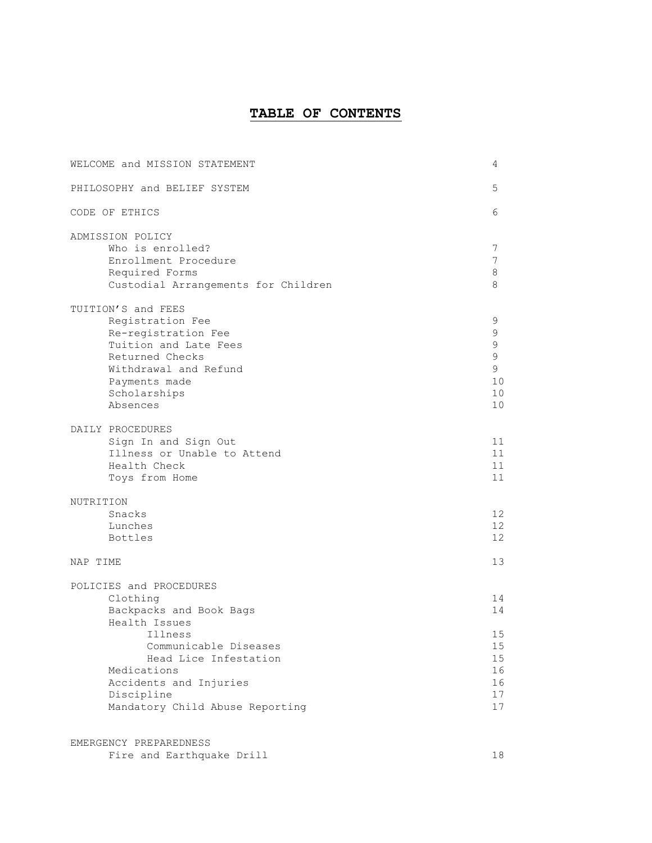# **TABLE OF CONTENTS**

| WELCOME and MISSION STATEMENT       | 4           |
|-------------------------------------|-------------|
| PHILOSOPHY and BELIEF SYSTEM        | 5           |
| CODE OF ETHICS                      | 6           |
| ADMISSION POLICY                    |             |
| Who is enrolled?                    | 7           |
| Enrollment Procedure                | 7           |
| Required Forms                      | 8           |
| Custodial Arrangements for Children | 8           |
| TUITION'S and FEES                  |             |
| Registration Fee                    | 9           |
| Re-registration Fee                 | 9           |
| Tuition and Late Fees               | $\mathsf 9$ |
| Returned Checks                     | $\mathsf 9$ |
| Withdrawal and Refund               | 9           |
| Payments made                       | 10          |
| Scholarships                        | 10          |
| Absences                            | 10          |
| DAILY PROCEDURES                    |             |
| Sign In and Sign Out                | 11          |
| Illness or Unable to Attend         | 11          |
| Health Check                        | 11          |
| Toys from Home                      | 11          |
| NUTRITION                           |             |
| Snacks                              | 12          |
| Lunches                             | 12          |
| <b>Bottles</b>                      | 12          |
| NAP TIME                            | 13          |
|                                     |             |
| POLICIES and PROCEDURES             |             |
| Clothing                            | 14          |
| Backpacks and Book Bags             | 14          |
| Health Issues                       |             |
| Illness<br>Communicable Diseases    | 15<br>15    |
| Head Lice Infestation               | 15          |
| Medications                         | 16          |
| Accidents and Injuries              | 16          |
| Discipline                          | 17          |
| Mandatory Child Abuse Reporting     | 17          |
|                                     |             |

| EMERGENCY PREPAREDNESS    |  |
|---------------------------|--|
| Fire and Earthquake Drill |  |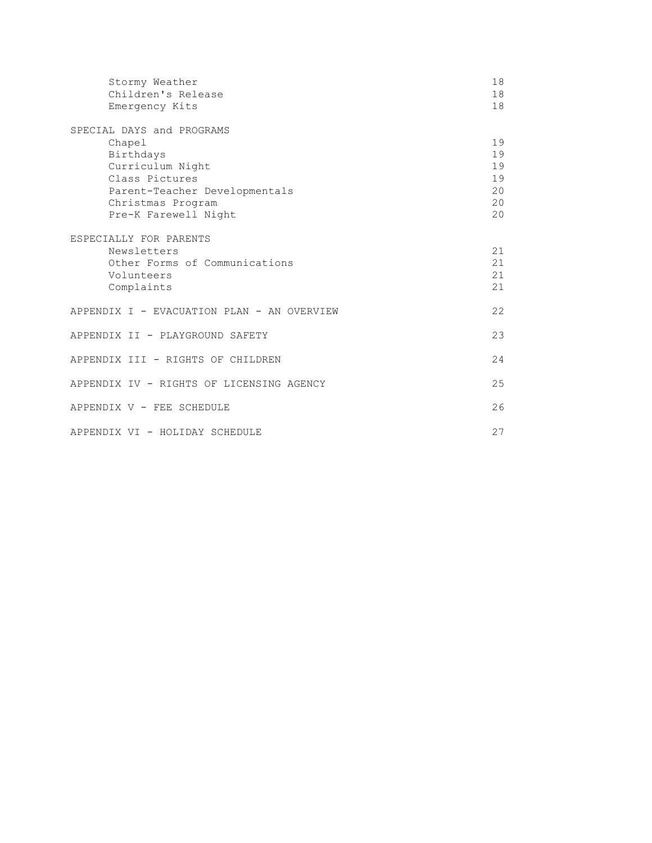| Stormy Weather<br>Children's Release<br>Emergency Kits                                                                                                                                                                                                                     | 18<br>18<br>18                                                 |
|----------------------------------------------------------------------------------------------------------------------------------------------------------------------------------------------------------------------------------------------------------------------------|----------------------------------------------------------------|
| SPECIAL DAYS and PROGRAMS<br>Chapel<br>Birthdays<br>Curriculum Night<br>Class Pictures<br>Parent-Teacher Developmentals<br>Christmas Program<br>Pre-K Farewell Night<br>ESPECIALLY FOR PARENTS<br>Newsletters<br>Other Forms of Communications<br>Volunteers<br>Complaints | 19<br>19<br>19<br>19<br>20<br>20<br>20<br>21<br>21<br>21<br>21 |
| APPENDIX I - EVACUATION PLAN - AN OVERVIEW                                                                                                                                                                                                                                 | 22                                                             |
| APPENDIX II - PLAYGROUND SAFETY                                                                                                                                                                                                                                            | 23                                                             |
| APPENDIX III - RIGHTS OF CHILDREN                                                                                                                                                                                                                                          | 24                                                             |
| APPENDIX IV - RIGHTS OF LICENSING AGENCY                                                                                                                                                                                                                                   | 25                                                             |
| APPENDIX V - FEE SCHEDULE                                                                                                                                                                                                                                                  | 26                                                             |
| APPENDIX VI - HOLIDAY SCHEDULE                                                                                                                                                                                                                                             | 27                                                             |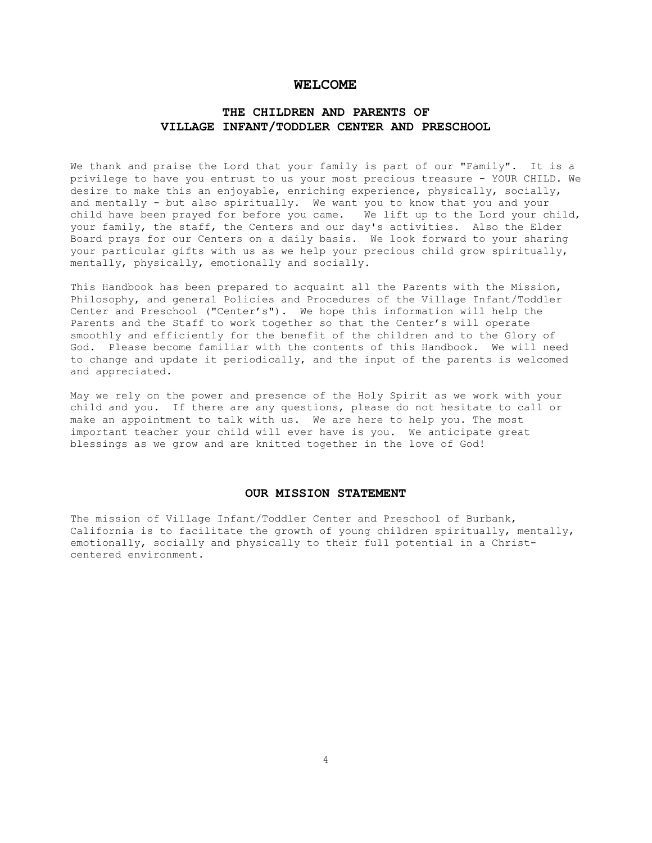## **WELCOME**

## **THE CHILDREN AND PARENTS OF VILLAGE INFANT/TODDLER CENTER AND PRESCHOOL**

We thank and praise the Lord that your family is part of our "Family". It is a privilege to have you entrust to us your most precious treasure - YOUR CHILD. We desire to make this an enjoyable, enriching experience, physically, socially, and mentally - but also spiritually. We want you to know that you and your child have been prayed for before you came. We lift up to the Lord your child, your family, the staff, the Centers and our day's activities. Also the Elder Board prays for our Centers on a daily basis. We look forward to your sharing your particular gifts with us as we help your precious child grow spiritually, mentally, physically, emotionally and socially.

This Handbook has been prepared to acquaint all the Parents with the Mission, Philosophy, and general Policies and Procedures of the Village Infant/Toddler Center and Preschool ("Center's"). We hope this information will help the Parents and the Staff to work together so that the Center's will operate smoothly and efficiently for the benefit of the children and to the Glory of God. Please become familiar with the contents of this Handbook. We will need to change and update it periodically, and the input of the parents is welcomed and appreciated.

May we rely on the power and presence of the Holy Spirit as we work with your child and you. If there are any questions, please do not hesitate to call or make an appointment to talk with us. We are here to help you. The most important teacher your child will ever have is you. We anticipate great blessings as we grow and are knitted together in the love of God!

#### **OUR MISSION STATEMENT**

The mission of Village Infant/Toddler Center and Preschool of Burbank, California is to facilitate the growth of young children spiritually, mentally, emotionally, socially and physically to their full potential in a Christcentered environment.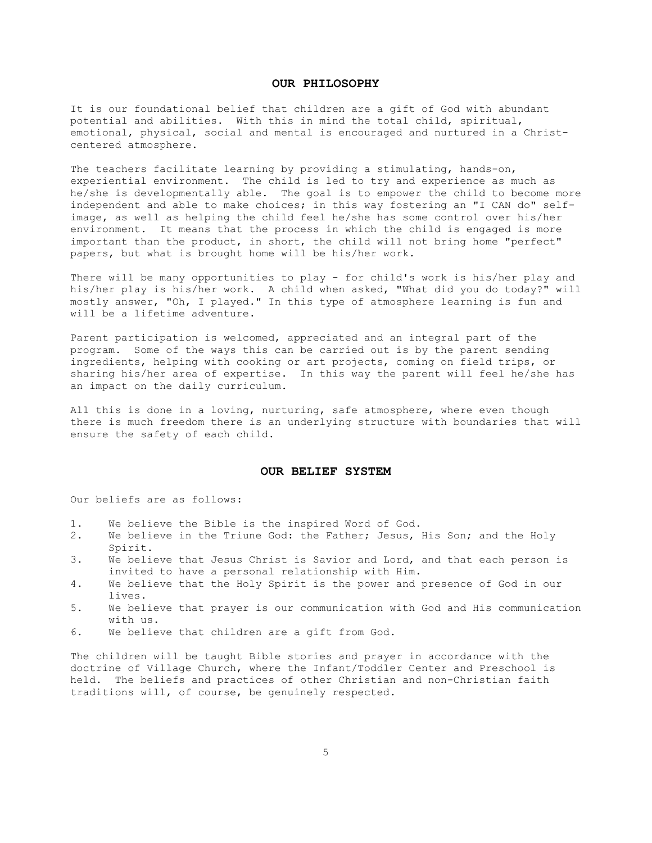## **OUR PHILOSOPHY**

It is our foundational belief that children are a gift of God with abundant potential and abilities. With this in mind the total child, spiritual, emotional, physical, social and mental is encouraged and nurtured in a Christcentered atmosphere.

The teachers facilitate learning by providing a stimulating, hands-on, experiential environment. The child is led to try and experience as much as he/she is developmentally able. The goal is to empower the child to become more independent and able to make choices; in this way fostering an "I CAN do" selfimage, as well as helping the child feel he/she has some control over his/her environment. It means that the process in which the child is engaged is more important than the product, in short, the child will not bring home "perfect" papers, but what is brought home will be his/her work.

There will be many opportunities to play - for child's work is his/her play and his/her play is his/her work. A child when asked, "What did you do today?" will mostly answer, "Oh, I played." In this type of atmosphere learning is fun and will be a lifetime adventure.

Parent participation is welcomed, appreciated and an integral part of the program. Some of the ways this can be carried out is by the parent sending ingredients, helping with cooking or art projects, coming on field trips, or sharing his/her area of expertise. In this way the parent will feel he/she has an impact on the daily curriculum.

All this is done in a loving, nurturing, safe atmosphere, where even though there is much freedom there is an underlying structure with boundaries that will ensure the safety of each child.

#### **OUR BELIEF SYSTEM**

Our beliefs are as follows:

- 1. We believe the Bible is the inspired Word of God.
- 2. We believe in the Triune God: the Father; Jesus, His Son; and the Holy Spirit.
- 3. We believe that Jesus Christ is Savior and Lord, and that each person is invited to have a personal relationship with Him.
- 4. We believe that the Holy Spirit is the power and presence of God in our lives.
- 5. We believe that prayer is our communication with God and His communication with us.
- 6. We believe that children are a gift from God.

The children will be taught Bible stories and prayer in accordance with the doctrine of Village Church, where the Infant/Toddler Center and Preschool is held. The beliefs and practices of other Christian and non-Christian faith traditions will, of course, be genuinely respected.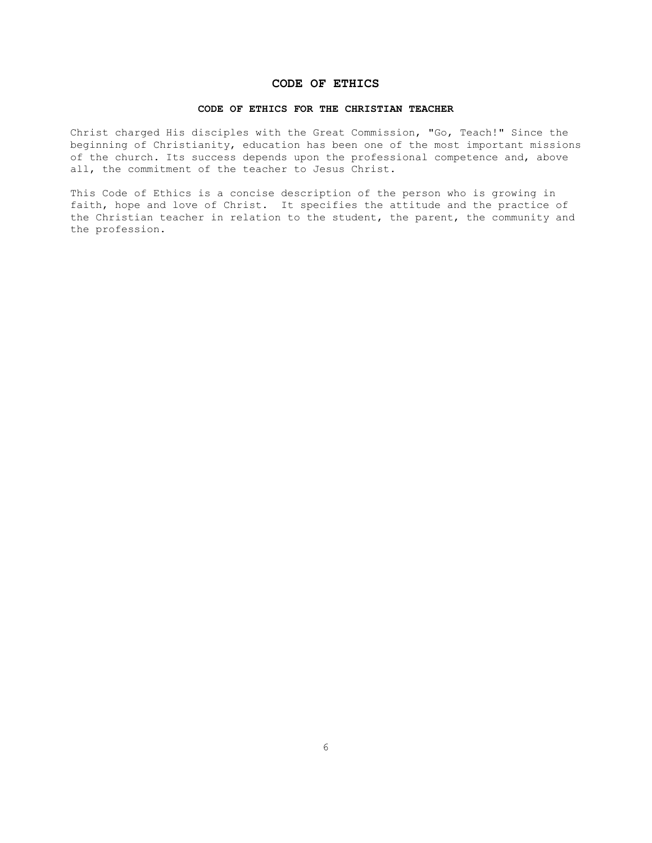## **CODE OF ETHICS**

#### **CODE OF ETHICS FOR THE CHRISTIAN TEACHER**

Christ charged His disciples with the Great Commission, "Go, Teach!" Since the beginning of Christianity, education has been one of the most important missions of the church. Its success depends upon the professional competence and, above all, the commitment of the teacher to Jesus Christ.

This Code of Ethics is a concise description of the person who is growing in faith, hope and love of Christ. It specifies the attitude and the practice of the Christian teacher in relation to the student, the parent, the community and the profession.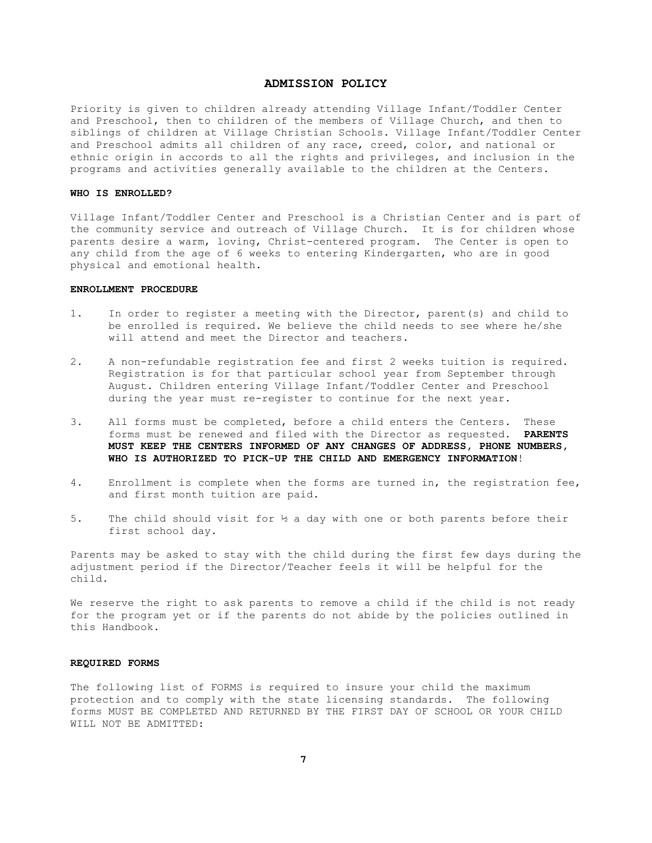## **ADMISSION POLICY**

Priority is given to children already attending Village Infant/Toddler Center and Preschool, then to children of the members of Village Church, and then to siblings of children at Village Christian Schools. Village Infant/Toddler Center and Preschool admits all children of any race, creed, color, and national or ethnic origin in accords to all the rights and privileges, and inclusion in the programs and activities generally available to the children at the Centers.

## **WHO IS ENROLLED?**

Village Infant/Toddler Center and Preschool is a Christian Center and is part of the community service and outreach of Village Church. It is for children whose parents desire a warm, loving, Christ-centered program. The Center is open to any child from the age of 6 weeks to entering Kindergarten, who are in good physical and emotional health.

#### **ENROLLMENT PROCEDURE**

- 1. In order to register a meeting with the Director, parent(s) and child to be enrolled is required. We believe the child needs to see where he/she will attend and meet the Director and teachers.
- 2. A non-refundable registration fee and first 2 weeks tuition is required. Registration is for that particular school year from September through August. Children entering Village Infant/Toddler Center and Preschool during the year must re-register to continue for the next year.
- 3. All forms must be completed, before a child enters the Centers. These forms must be renewed and filed with the Director as requested. **PARENTS MUST KEEP THE CENTERS INFORMED OF ANY CHANGES OF ADDRESS, PHONE NUMBERS, WHO IS AUTHORIZED TO PICK-UP THE CHILD AND EMERGENCY INFORMATION**!
- 4. Enrollment is complete when the forms are turned in, the registration fee, and first month tuition are paid.
- 5. The child should visit for ½ a day with one or both parents before their first school day.

Parents may be asked to stay with the child during the first few days during the adjustment period if the Director/Teacher feels it will be helpful for the child.

We reserve the right to ask parents to remove a child if the child is not ready for the program yet or if the parents do not abide by the policies outlined in this Handbook.

#### **REQUIRED FORMS**

The following list of FORMS is required to insure your child the maximum protection and to comply with the state licensing standards. The following forms MUST BE COMPLETED AND RETURNED BY THE FIRST DAY OF SCHOOL OR YOUR CHILD WILL NOT BE ADMITTED.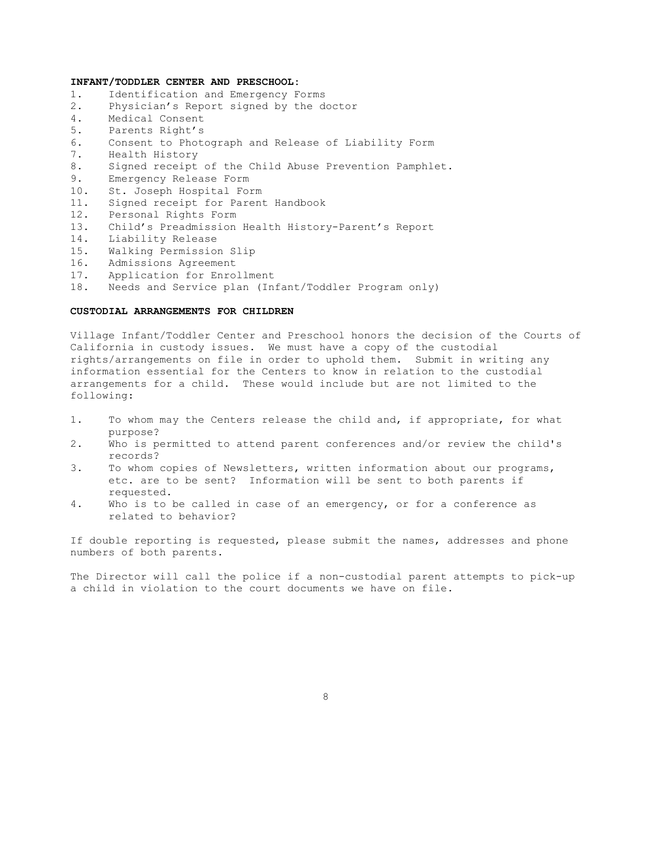## **INFANT/TODDLER CENTER AND PRESCHOOL:**

- 1. Identification and Emergency Forms
- 2. Physician's Report signed by the doctor
- 4. Medical Consent<br>5. Parents Right's
- 5. Parents Right's
- 6. Consent to Photograph and Release of Liability Form
- 7. Health History
- 8. Signed receipt of the Child Abuse Prevention Pamphlet.
- 9. Emergency Release Form
- 10. St. Joseph Hospital Form
- 11. Signed receipt for Parent Handbook
- 12. Personal Rights Form
- 13. Child's Preadmission Health History-Parent's Report
- 14. Liability Release
- 15. Walking Permission Slip
- 16. Admissions Agreement
- 17. Application for Enrollment
- 18. Needs and Service plan (Infant/Toddler Program only)

#### **CUSTODIAL ARRANGEMENTS FOR CHILDREN**

Village Infant/Toddler Center and Preschool honors the decision of the Courts of California in custody issues. We must have a copy of the custodial rights/arrangements on file in order to uphold them. Submit in writing any information essential for the Centers to know in relation to the custodial arrangements for a child. These would include but are not limited to the following:

- 1. To whom may the Centers release the child and, if appropriate, for what purpose?
- 2. Who is permitted to attend parent conferences and/or review the child's records?
- 3. To whom copies of Newsletters, written information about our programs, etc. are to be sent? Information will be sent to both parents if requested.
- 4. Who is to be called in case of an emergency, or for a conference as related to behavior?

If double reporting is requested, please submit the names, addresses and phone numbers of both parents.

The Director will call the police if a non-custodial parent attempts to pick-up a child in violation to the court documents we have on file.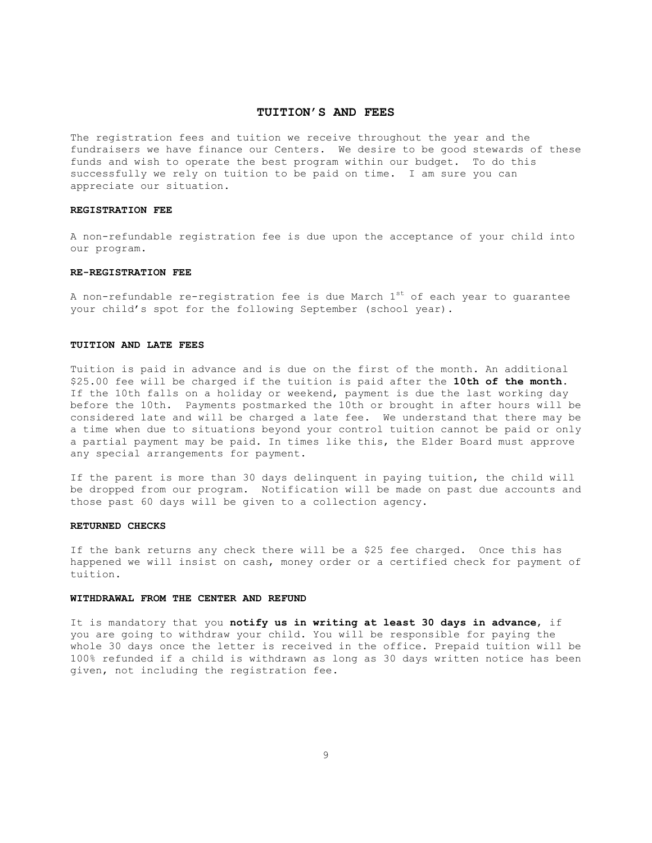## **TUITION'S AND FEES**

The registration fees and tuition we receive throughout the year and the fundraisers we have finance our Centers. We desire to be good stewards of these funds and wish to operate the best program within our budget. To do this successfully we rely on tuition to be paid on time. I am sure you can appreciate our situation.

#### **REGISTRATION FEE**

A non-refundable registration fee is due upon the acceptance of your child into our program.

#### **RE-REGISTRATION FEE**

A non-refundable re-registration fee is due March  $1^{st}$  of each year to guarantee your child's spot for the following September (school year).

#### **TUITION AND LATE FEES**

Tuition is paid in advance and is due on the first of the month. An additional \$25.00 fee will be charged if the tuition is paid after the **10th of the month.**  If the 10th falls on a holiday or weekend, payment is due the last working day before the 10th. Payments postmarked the 10th or brought in after hours will be considered late and will be charged a late fee. We understand that there may be a time when due to situations beyond your control tuition cannot be paid or only a partial payment may be paid. In times like this, the Elder Board must approve any special arrangements for payment.

If the parent is more than 30 days delinquent in paying tuition, the child will be dropped from our program. Notification will be made on past due accounts and those past 60 days will be given to a collection agency.

#### **RETURNED CHECKS**

If the bank returns any check there will be a \$25 fee charged. Once this has happened we will insist on cash, money order or a certified check for payment of tuition.

### **WITHDRAWAL FROM THE CENTER AND REFUND**

It is mandatory that you **notify us in writing at least 30 days in advance**, if you are going to withdraw your child. You will be responsible for paying the whole 30 days once the letter is received in the office. Prepaid tuition will be 100% refunded if a child is withdrawn as long as 30 days written notice has been given, not including the registration fee.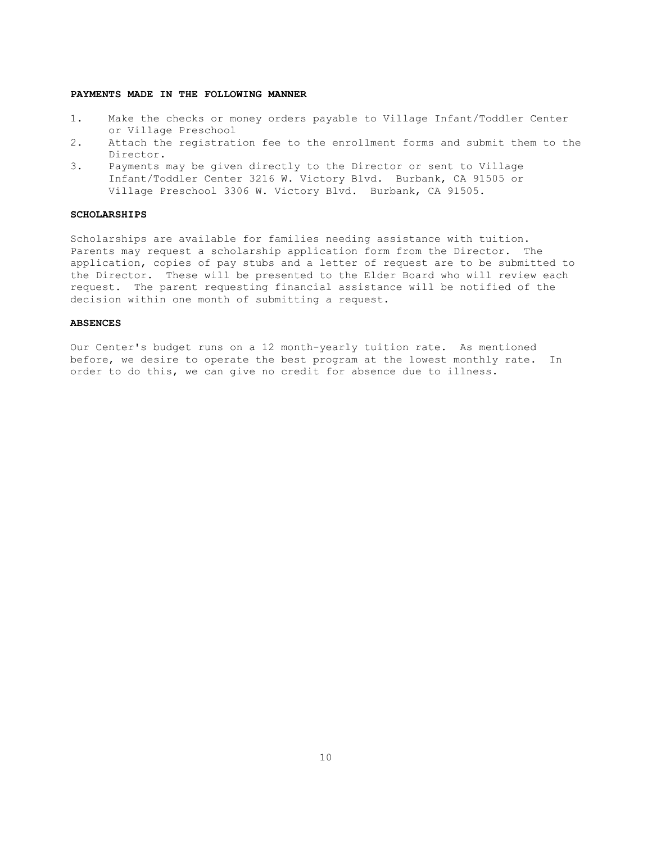### **PAYMENTS MADE IN THE FOLLOWING MANNER**

- 1. Make the checks or money orders payable to Village Infant/Toddler Center or Village Preschool
- 2. Attach the registration fee to the enrollment forms and submit them to the Director.
- 3. Payments may be given directly to the Director or sent to Village Infant/Toddler Center 3216 W. Victory Blvd. Burbank, CA 91505 or Village Preschool 3306 W. Victory Blvd. Burbank, CA 91505.

#### **SCHOLARSHIPS**

Scholarships are available for families needing assistance with tuition. Parents may request a scholarship application form from the Director. The application, copies of pay stubs and a letter of request are to be submitted to the Director. These will be presented to the Elder Board who will review each request. The parent requesting financial assistance will be notified of the decision within one month of submitting a request.

#### **ABSENCES**

Our Center's budget runs on a 12 month-yearly tuition rate. As mentioned before, we desire to operate the best program at the lowest monthly rate. In order to do this, we can give no credit for absence due to illness.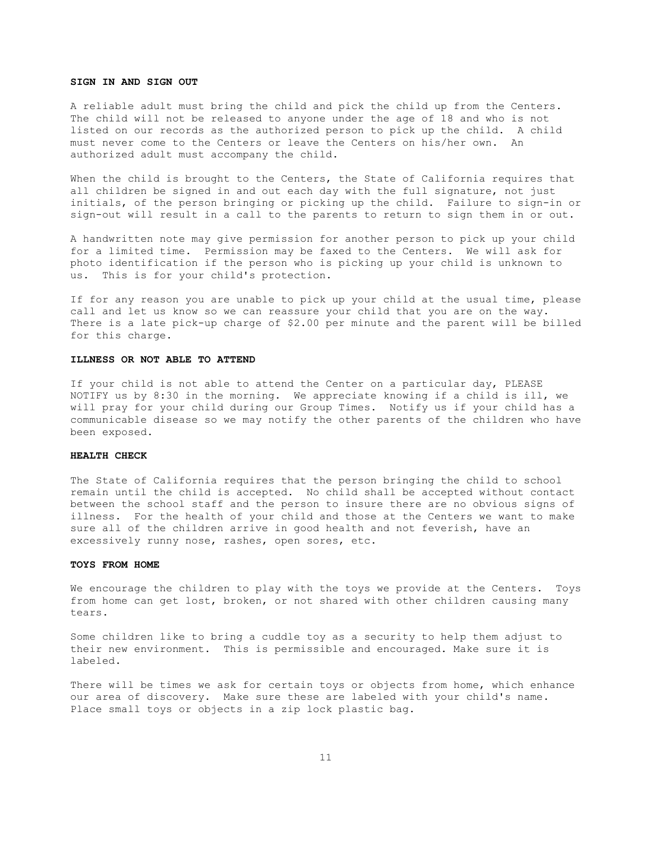#### **SIGN IN AND SIGN OUT**

A reliable adult must bring the child and pick the child up from the Centers. The child will not be released to anyone under the age of 18 and who is not listed on our records as the authorized person to pick up the child. A child must never come to the Centers or leave the Centers on his/her own. An authorized adult must accompany the child.

When the child is brought to the Centers, the State of California requires that all children be signed in and out each day with the full signature, not just initials, of the person bringing or picking up the child. Failure to sign-in or sign-out will result in a call to the parents to return to sign them in or out.

A handwritten note may give permission for another person to pick up your child for a limited time. Permission may be faxed to the Centers. We will ask for photo identification if the person who is picking up your child is unknown to us. This is for your child's protection.

If for any reason you are unable to pick up your child at the usual time, please call and let us know so we can reassure your child that you are on the way. There is a late pick-up charge of \$2.00 per minute and the parent will be billed for this charge.

#### **ILLNESS OR NOT ABLE TO ATTEND**

If your child is not able to attend the Center on a particular day, PLEASE NOTIFY us by 8:30 in the morning. We appreciate knowing if a child is ill, we will pray for your child during our Group Times. Notify us if your child has a communicable disease so we may notify the other parents of the children who have been exposed.

#### **HEALTH CHECK**

The State of California requires that the person bringing the child to school remain until the child is accepted. No child shall be accepted without contact between the school staff and the person to insure there are no obvious signs of illness. For the health of your child and those at the Centers we want to make sure all of the children arrive in good health and not feverish, have an excessively runny nose, rashes, open sores, etc.

#### **TOYS FROM HOME**

We encourage the children to play with the toys we provide at the Centers. Toys from home can get lost, broken, or not shared with other children causing many tears.

Some children like to bring a cuddle toy as a security to help them adjust to their new environment. This is permissible and encouraged. Make sure it is labeled.

There will be times we ask for certain toys or objects from home, which enhance our area of discovery. Make sure these are labeled with your child's name. Place small toys or objects in a zip lock plastic bag.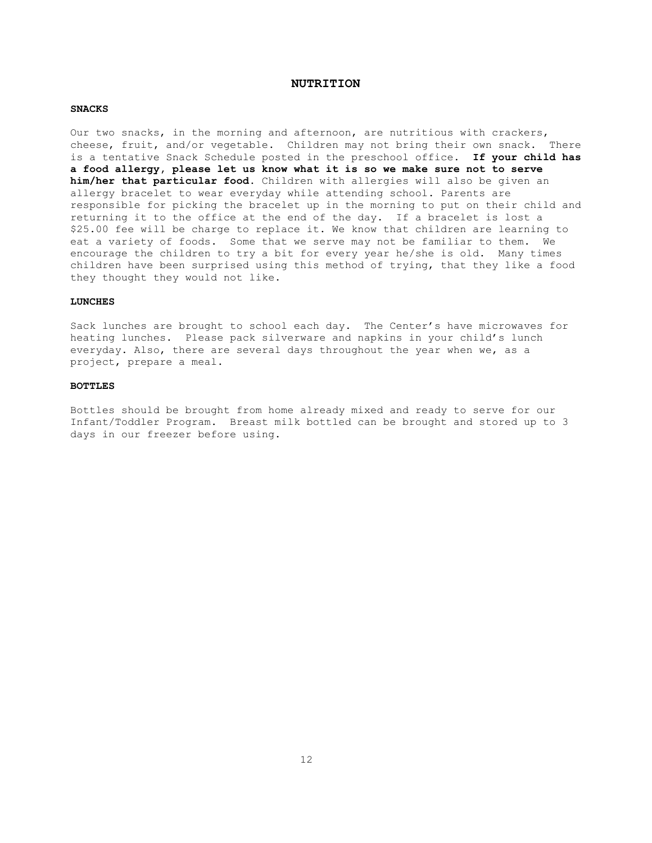## **NUTRITION**

#### **SNACKS**

Our two snacks, in the morning and afternoon, are nutritious with crackers, cheese, fruit, and/or vegetable. Children may not bring their own snack. There is a tentative Snack Schedule posted in the preschool office. **If your child has a food allergy, please let us know what it is so we make sure not to serve him/her that particular food.** Children with allergies will also be given an allergy bracelet to wear everyday while attending school. Parents are responsible for picking the bracelet up in the morning to put on their child and returning it to the office at the end of the day. If a bracelet is lost a \$25.00 fee will be charge to replace it. We know that children are learning to eat a variety of foods. Some that we serve may not be familiar to them. We encourage the children to try a bit for every year he/she is old. Many times children have been surprised using this method of trying, that they like a food they thought they would not like.

## **LUNCHES**

Sack lunches are brought to school each day. The Center's have microwaves for heating lunches. Please pack silverware and napkins in your child's lunch everyday. Also, there are several days throughout the year when we, as a project, prepare a meal.

### **BOTTLES**

Bottles should be brought from home already mixed and ready to serve for our Infant/Toddler Program. Breast milk bottled can be brought and stored up to 3 days in our freezer before using.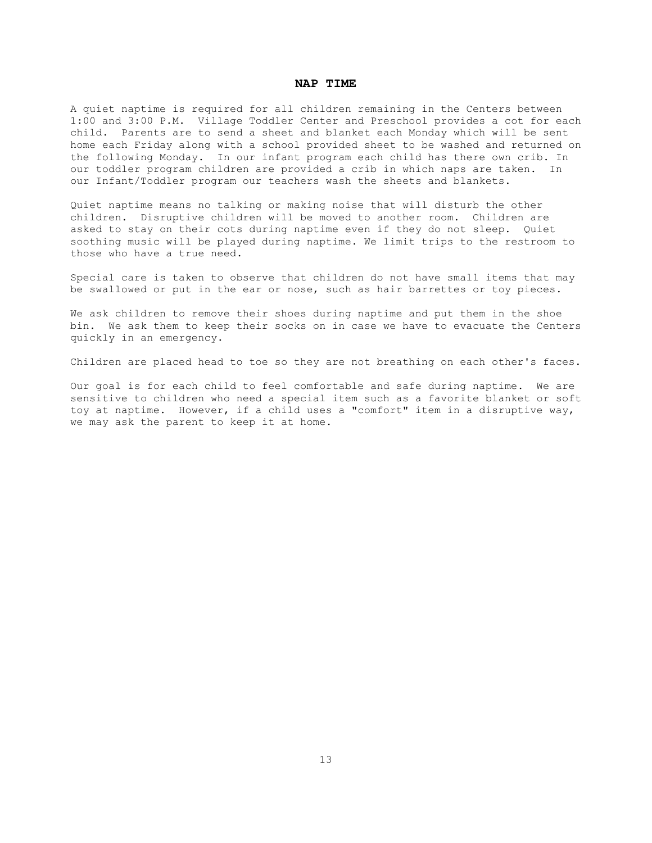## **NAP TIME**

A quiet naptime is required for all children remaining in the Centers between 1:00 and 3:00 P.M. Village Toddler Center and Preschool provides a cot for each child. Parents are to send a sheet and blanket each Monday which will be sent home each Friday along with a school provided sheet to be washed and returned on the following Monday. In our infant program each child has there own crib. In our toddler program children are provided a crib in which naps are taken. In our Infant/Toddler program our teachers wash the sheets and blankets.

Quiet naptime means no talking or making noise that will disturb the other children. Disruptive children will be moved to another room. Children are asked to stay on their cots during naptime even if they do not sleep. Quiet soothing music will be played during naptime. We limit trips to the restroom to those who have a true need.

Special care is taken to observe that children do not have small items that may be swallowed or put in the ear or nose, such as hair barrettes or toy pieces.

We ask children to remove their shoes during naptime and put them in the shoe bin. We ask them to keep their socks on in case we have to evacuate the Centers quickly in an emergency.

Children are placed head to toe so they are not breathing on each other's faces.

Our goal is for each child to feel comfortable and safe during naptime. We are sensitive to children who need a special item such as a favorite blanket or soft toy at naptime. However, if a child uses a "comfort" item in a disruptive way, we may ask the parent to keep it at home.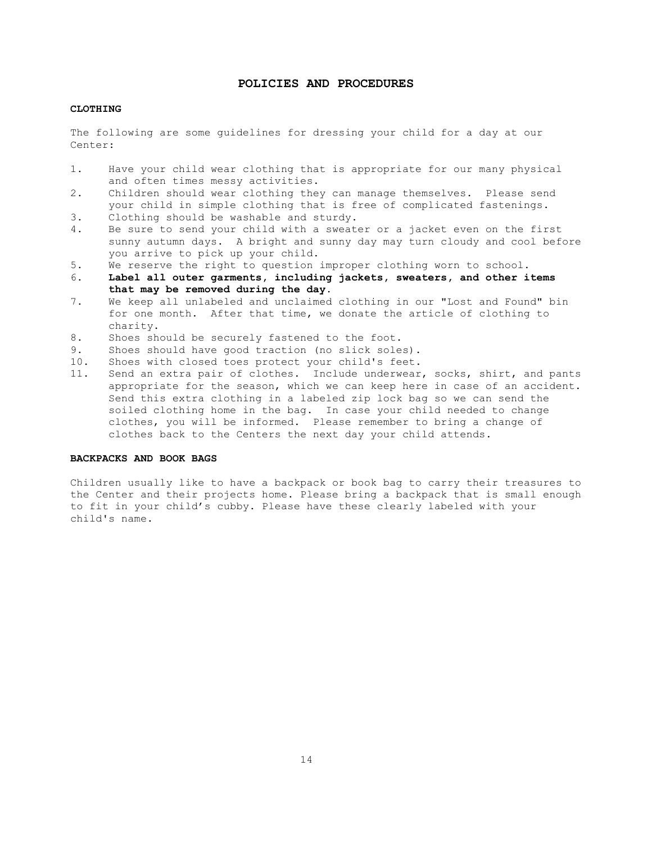## **POLICIES AND PROCEDURES**

## **CLOTHING**

The following are some guidelines for dressing your child for a day at our Center:

- 1. Have your child wear clothing that is appropriate for our many physical and often times messy activities.
- 2. Children should wear clothing they can manage themselves. Please send your child in simple clothing that is free of complicated fastenings.
- 3. Clothing should be washable and sturdy.
- 4. Be sure to send your child with a sweater or a jacket even on the first sunny autumn days. A bright and sunny day may turn cloudy and cool before you arrive to pick up your child.
- 5. We reserve the right to question improper clothing worn to school.
- 6. **Label all outer garments, including jackets, sweaters, and other items that may be removed during the day.**
- 7. We keep all unlabeled and unclaimed clothing in our "Lost and Found" bin for one month. After that time, we donate the article of clothing to charity.
- 8. Shoes should be securely fastened to the foot.
- 9. Shoes should have good traction (no slick soles).
- 10. Shoes with closed toes protect your child's feet.
- 11. Send an extra pair of clothes. Include underwear, socks, shirt, and pants appropriate for the season, which we can keep here in case of an accident. Send this extra clothing in a labeled zip lock bag so we can send the soiled clothing home in the bag. In case your child needed to change clothes, you will be informed. Please remember to bring a change of clothes back to the Centers the next day your child attends.

#### **BACKPACKS AND BOOK BAGS**

Children usually like to have a backpack or book bag to carry their treasures to the Center and their projects home. Please bring a backpack that is small enough to fit in your child's cubby. Please have these clearly labeled with your child's name.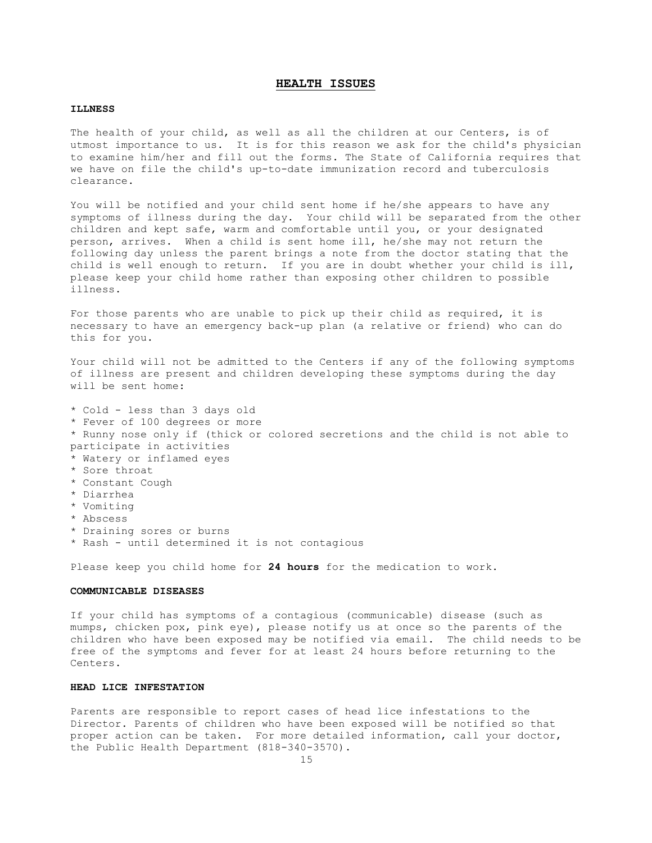## **HEALTH ISSUES**

#### **ILLNESS**

The health of your child, as well as all the children at our Centers, is of utmost importance to us. It is for this reason we ask for the child's physician to examine him/her and fill out the forms. The State of California requires that we have on file the child's up-to-date immunization record and tuberculosis clearance.

You will be notified and your child sent home if he/she appears to have any symptoms of illness during the day. Your child will be separated from the other children and kept safe, warm and comfortable until you, or your designated person, arrives. When a child is sent home ill, he/she may not return the following day unless the parent brings a note from the doctor stating that the child is well enough to return. If you are in doubt whether your child is ill, please keep your child home rather than exposing other children to possible illness.

For those parents who are unable to pick up their child as required, it is necessary to have an emergency back-up plan (a relative or friend) who can do this for you.

Your child will not be admitted to the Centers if any of the following symptoms of illness are present and children developing these symptoms during the day will be sent home:

- \* Cold less than 3 days old
- \* Fever of 100 degrees or more
- \* Runny nose only if (thick or colored secretions and the child is not able to participate in activities
- \* Watery or inflamed eyes
- \* Sore throat
- \* Constant Cough
- \* Diarrhea
- \* Vomiting
- \* Abscess
- \* Draining sores or burns
- \* Rash until determined it is not contagious

Please keep you child home for **24 hours** for the medication to work.

## **COMMUNICABLE DISEASES**

If your child has symptoms of a contagious (communicable) disease (such as mumps, chicken pox, pink eye), please notify us at once so the parents of the children who have been exposed may be notified via email. The child needs to be free of the symptoms and fever for at least 24 hours before returning to the Centers.

## **HEAD LICE INFESTATION**

Parents are responsible to report cases of head lice infestations to the Director. Parents of children who have been exposed will be notified so that proper action can be taken. For more detailed information, call your doctor, the Public Health Department (818-340-3570).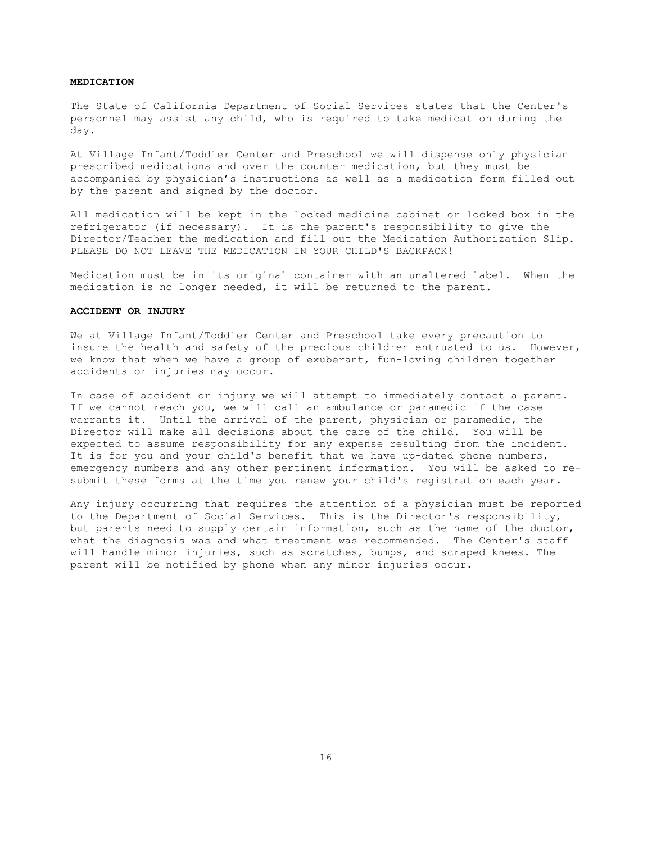#### **MEDICATION**

The State of California Department of Social Services states that the Center's personnel may assist any child, who is required to take medication during the day.

At Village Infant/Toddler Center and Preschool we will dispense only physician prescribed medications and over the counter medication, but they must be accompanied by physician's instructions as well as a medication form filled out by the parent and signed by the doctor.

All medication will be kept in the locked medicine cabinet or locked box in the refrigerator (if necessary). It is the parent's responsibility to give the Director/Teacher the medication and fill out the Medication Authorization Slip. PLEASE DO NOT LEAVE THE MEDICATION IN YOUR CHILD'S BACKPACK!

Medication must be in its original container with an unaltered label. When the medication is no longer needed, it will be returned to the parent.

#### **ACCIDENT OR INJURY**

We at Village Infant/Toddler Center and Preschool take every precaution to insure the health and safety of the precious children entrusted to us. However, we know that when we have a group of exuberant, fun-loving children together accidents or injuries may occur.

In case of accident or injury we will attempt to immediately contact a parent. If we cannot reach you, we will call an ambulance or paramedic if the case warrants it. Until the arrival of the parent, physician or paramedic, the Director will make all decisions about the care of the child. You will be expected to assume responsibility for any expense resulting from the incident. It is for you and your child's benefit that we have up-dated phone numbers, emergency numbers and any other pertinent information. You will be asked to resubmit these forms at the time you renew your child's registration each year.

Any injury occurring that requires the attention of a physician must be reported to the Department of Social Services. This is the Director's responsibility, but parents need to supply certain information, such as the name of the doctor, what the diagnosis was and what treatment was recommended. The Center's staff will handle minor injuries, such as scratches, bumps, and scraped knees. The parent will be notified by phone when any minor injuries occur.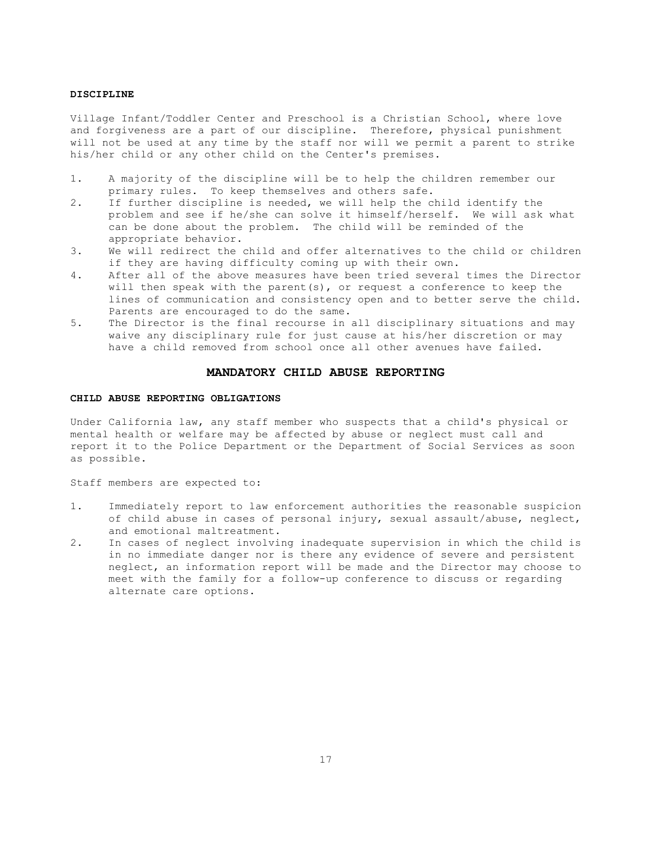#### **DISCIPLINE**

Village Infant/Toddler Center and Preschool is a Christian School, where love and forgiveness are a part of our discipline. Therefore, physical punishment will not be used at any time by the staff nor will we permit a parent to strike his/her child or any other child on the Center's premises.

- 1. A majority of the discipline will be to help the children remember our primary rules. To keep themselves and others safe.
- 2. If further discipline is needed, we will help the child identify the problem and see if he/she can solve it himself/herself. We will ask what can be done about the problem. The child will be reminded of the appropriate behavior.
- 3. We will redirect the child and offer alternatives to the child or children if they are having difficulty coming up with their own.
- 4. After all of the above measures have been tried several times the Director will then speak with the parent(s), or request a conference to keep the lines of communication and consistency open and to better serve the child. Parents are encouraged to do the same.
- 5. The Director is the final recourse in all disciplinary situations and may waive any disciplinary rule for just cause at his/her discretion or may have a child removed from school once all other avenues have failed.

#### **MANDATORY CHILD ABUSE REPORTING**

#### **CHILD ABUSE REPORTING OBLIGATIONS**

Under California law, any staff member who suspects that a child's physical or mental health or welfare may be affected by abuse or neglect must call and report it to the Police Department or the Department of Social Services as soon as possible.

Staff members are expected to:

- 1. Immediately report to law enforcement authorities the reasonable suspicion of child abuse in cases of personal injury, sexual assault/abuse, neglect, and emotional maltreatment.
- 2. In cases of neglect involving inadequate supervision in which the child is in no immediate danger nor is there any evidence of severe and persistent neglect, an information report will be made and the Director may choose to meet with the family for a follow-up conference to discuss or regarding alternate care options.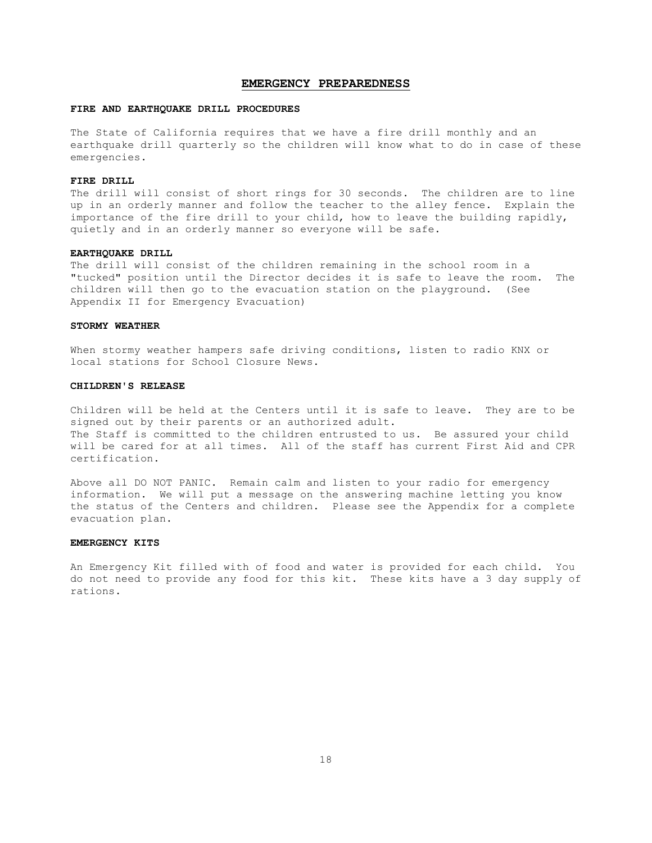#### **EMERGENCY PREPAREDNESS**

#### **FIRE AND EARTHQUAKE DRILL PROCEDURES**

The State of California requires that we have a fire drill monthly and an earthquake drill quarterly so the children will know what to do in case of these emergencies.

#### **FIRE DRILL**

The drill will consist of short rings for 30 seconds. The children are to line up in an orderly manner and follow the teacher to the alley fence. Explain the importance of the fire drill to your child, how to leave the building rapidly, quietly and in an orderly manner so everyone will be safe.

#### **EARTHQUAKE DRILL**

The drill will consist of the children remaining in the school room in a "tucked" position until the Director decides it is safe to leave the room. The children will then go to the evacuation station on the playground. (See Appendix II for Emergency Evacuation)

#### **STORMY WEATHER**

When stormy weather hampers safe driving conditions, listen to radio KNX or local stations for School Closure News.

## **CHILDREN'S RELEASE**

Children will be held at the Centers until it is safe to leave. They are to be signed out by their parents or an authorized adult. The Staff is committed to the children entrusted to us. Be assured your child will be cared for at all times. All of the staff has current First Aid and CPR certification.

Above all DO NOT PANIC. Remain calm and listen to your radio for emergency information. We will put a message on the answering machine letting you know the status of the Centers and children. Please see the Appendix for a complete evacuation plan.

#### **EMERGENCY KITS**

An Emergency Kit filled with of food and water is provided for each child. You do not need to provide any food for this kit. These kits have a 3 day supply of rations.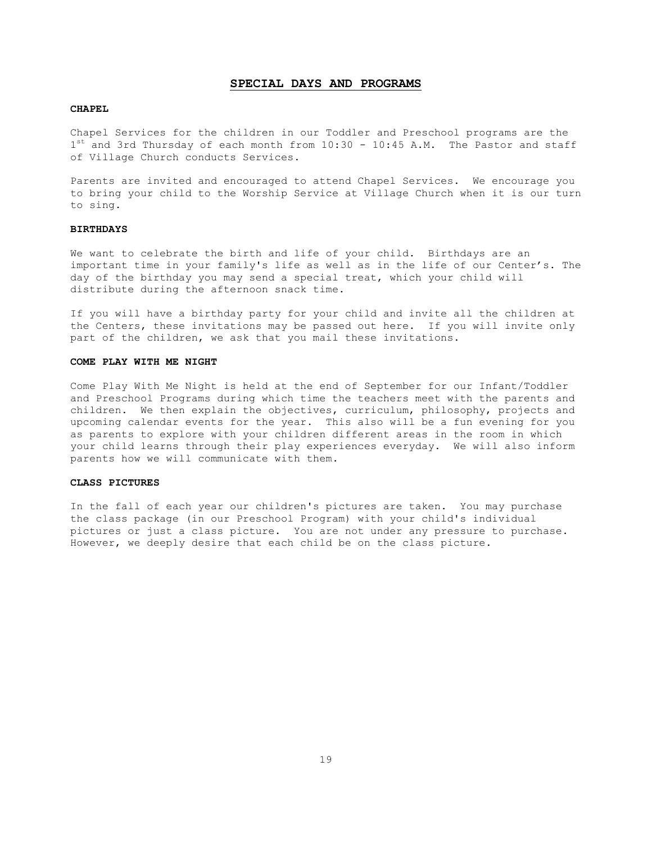#### **SPECIAL DAYS AND PROGRAMS**

#### **CHAPEL**

Chapel Services for the children in our Toddler and Preschool programs are the  $1<sup>st</sup>$  and 3rd Thursday of each month from 10:30 - 10:45 A.M. The Pastor and staff of Village Church conducts Services.

Parents are invited and encouraged to attend Chapel Services. We encourage you to bring your child to the Worship Service at Village Church when it is our turn to sing.

## **BIRTHDAYS**

We want to celebrate the birth and life of your child. Birthdays are an important time in your family's life as well as in the life of our Center's. The day of the birthday you may send a special treat, which your child will distribute during the afternoon snack time.

If you will have a birthday party for your child and invite all the children at the Centers, these invitations may be passed out here. If you will invite only part of the children, we ask that you mail these invitations.

#### **COME PLAY WITH ME NIGHT**

Come Play With Me Night is held at the end of September for our Infant/Toddler and Preschool Programs during which time the teachers meet with the parents and children. We then explain the objectives, curriculum, philosophy, projects and upcoming calendar events for the year. This also will be a fun evening for you as parents to explore with your children different areas in the room in which your child learns through their play experiences everyday. We will also inform parents how we will communicate with them.

## **CLASS PICTURES**

In the fall of each year our children's pictures are taken. You may purchase the class package (in our Preschool Program) with your child's individual pictures or just a class picture. You are not under any pressure to purchase. However, we deeply desire that each child be on the class picture.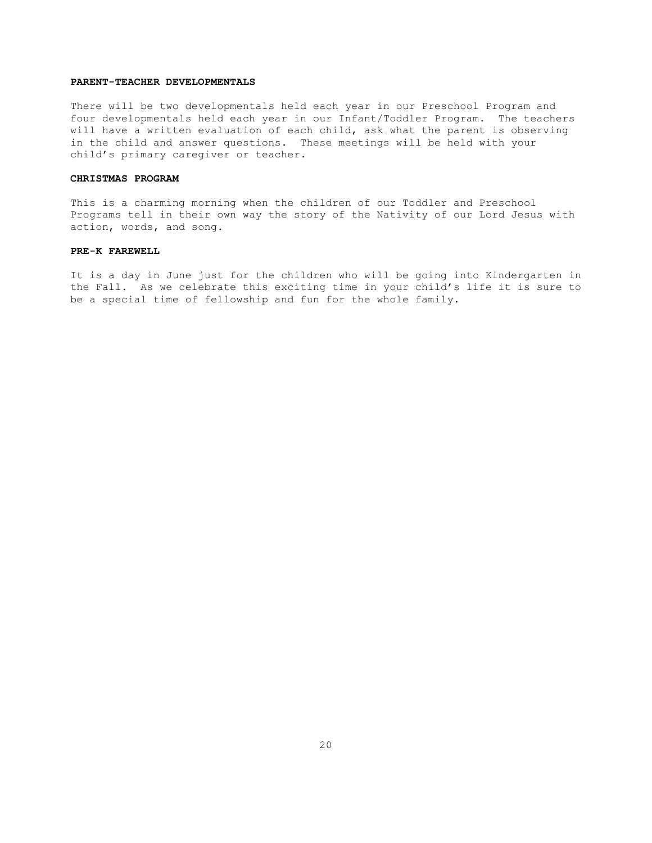## **PARENT-TEACHER DEVELOPMENTALS**

There will be two developmentals held each year in our Preschool Program and four developmentals held each year in our Infant/Toddler Program. The teachers will have a written evaluation of each child, ask what the parent is observing in the child and answer questions. These meetings will be held with your child's primary caregiver or teacher.

#### **CHRISTMAS PROGRAM**

This is a charming morning when the children of our Toddler and Preschool Programs tell in their own way the story of the Nativity of our Lord Jesus with action, words, and song.

#### **PRE-K FAREWELL**

It is a day in June just for the children who will be going into Kindergarten in the Fall. As we celebrate this exciting time in your child's life it is sure to be a special time of fellowship and fun for the whole family.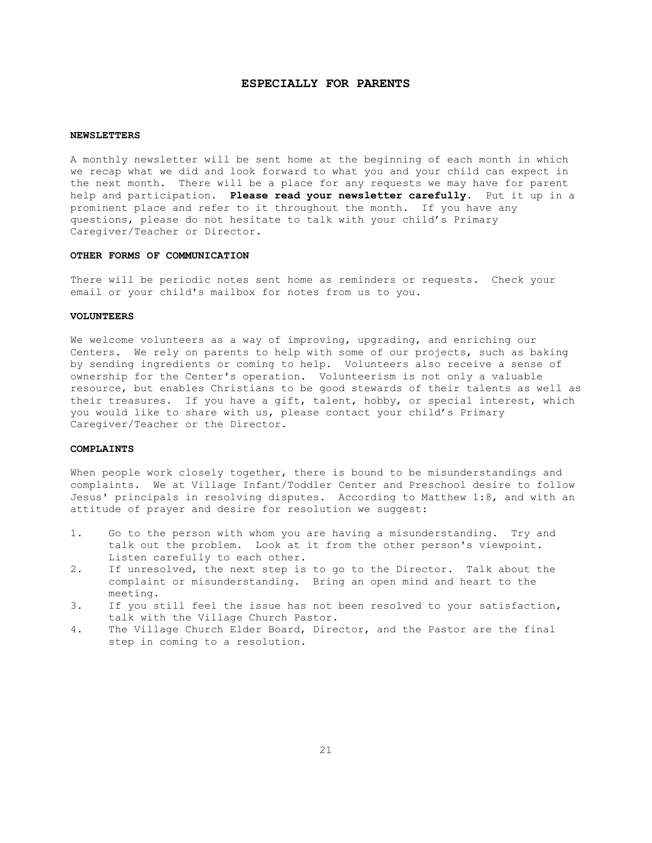## **ESPECIALLY FOR PARENTS**

#### **NEWSLETTERS**

A monthly newsletter will be sent home at the beginning of each month in which we recap what we did and look forward to what you and your child can expect in the next month. There will be a place for any requests we may have for parent help and participation. **Please read your newsletter carefully**. Put it up in a prominent place and refer to it throughout the month. If you have any questions, please do not hesitate to talk with your child's Primary Caregiver/Teacher or Director.

#### **OTHER FORMS OF COMMUNICATION**

There will be periodic notes sent home as reminders or requests. Check your email or your child's mailbox for notes from us to you.

## **VOLUNTEERS**

We welcome volunteers as a way of improving, upgrading, and enriching our Centers. We rely on parents to help with some of our projects, such as baking by sending ingredients or coming to help. Volunteers also receive a sense of ownership for the Center's operation. Volunteerism is not only a valuable resource, but enables Christians to be good stewards of their talents as well as their treasures. If you have a gift, talent, hobby, or special interest, which you would like to share with us, please contact your child's Primary Caregiver/Teacher or the Director.

#### **COMPLAINTS**

When people work closely together, there is bound to be misunderstandings and complaints. We at Village Infant/Toddler Center and Preschool desire to follow Jesus' principals in resolving disputes. According to Matthew 1:8, and with an attitude of prayer and desire for resolution we suggest:

- 1. Go to the person with whom you are having a misunderstanding. Try and talk out the problem. Look at it from the other person's viewpoint. Listen carefully to each other.
- 2. If unresolved, the next step is to go to the Director. Talk about the complaint or misunderstanding. Bring an open mind and heart to the meeting.
- 3. If you still feel the issue has not been resolved to your satisfaction, talk with the Village Church Pastor.
- 4. The Village Church Elder Board, Director, and the Pastor are the final step in coming to a resolution.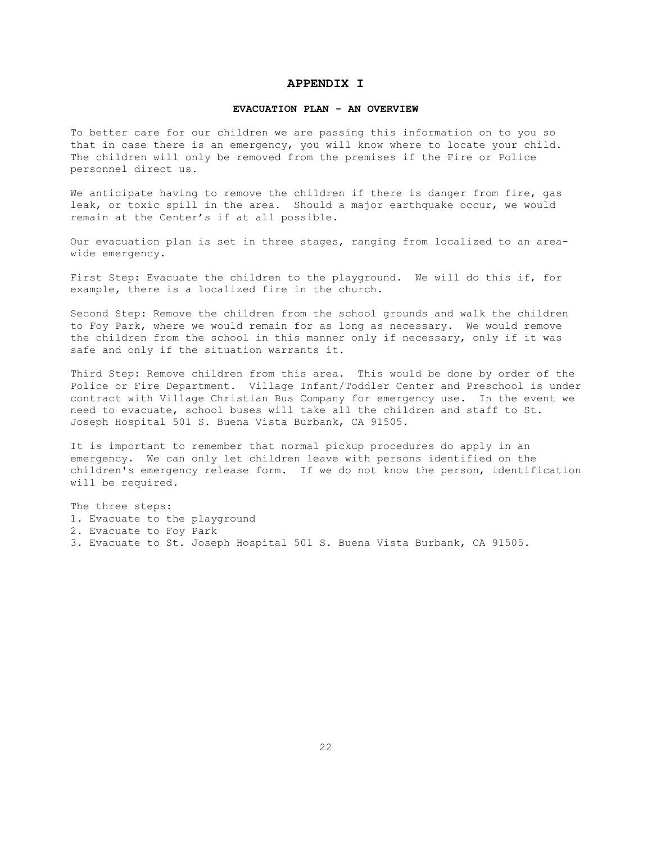## **APPENDIX I**

#### **EVACUATION PLAN - AN OVERVIEW**

To better care for our children we are passing this information on to you so that in case there is an emergency, you will know where to locate your child. The children will only be removed from the premises if the Fire or Police personnel direct us.

We anticipate having to remove the children if there is danger from fire, gas leak, or toxic spill in the area. Should a major earthquake occur, we would remain at the Center's if at all possible.

Our evacuation plan is set in three stages, ranging from localized to an areawide emergency.

First Step: Evacuate the children to the playground. We will do this if, for example, there is a localized fire in the church.

Second Step: Remove the children from the school grounds and walk the children to Foy Park, where we would remain for as long as necessary. We would remove the children from the school in this manner only if necessary, only if it was safe and only if the situation warrants it.

Third Step: Remove children from this area. This would be done by order of the Police or Fire Department. Village Infant/Toddler Center and Preschool is under contract with Village Christian Bus Company for emergency use. In the event we need to evacuate, school buses will take all the children and staff to St. Joseph Hospital 501 S. Buena Vista Burbank, CA 91505.

It is important to remember that normal pickup procedures do apply in an emergency. We can only let children leave with persons identified on the children's emergency release form. If we do not know the person, identification will be required.

The three steps: 1. Evacuate to the playground 2. Evacuate to Foy Park 3. Evacuate to St. Joseph Hospital 501 S. Buena Vista Burbank, CA 91505.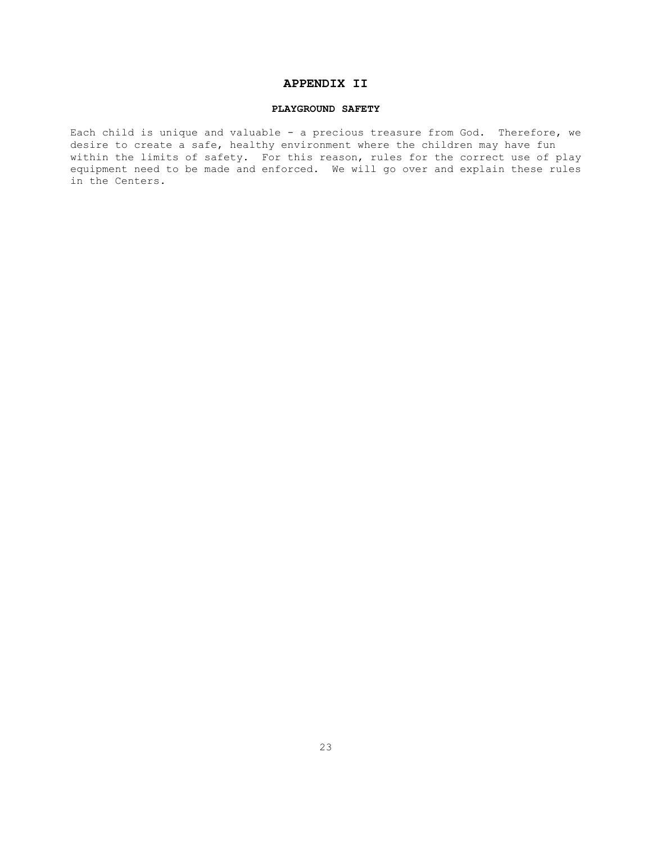## **APPENDIX II**

## **PLAYGROUND SAFETY**

Each child is unique and valuable - a precious treasure from God. Therefore, we desire to create a safe, healthy environment where the children may have fun within the limits of safety. For this reason, rules for the correct use of play equipment need to be made and enforced. We will go over and explain these rules in the Centers.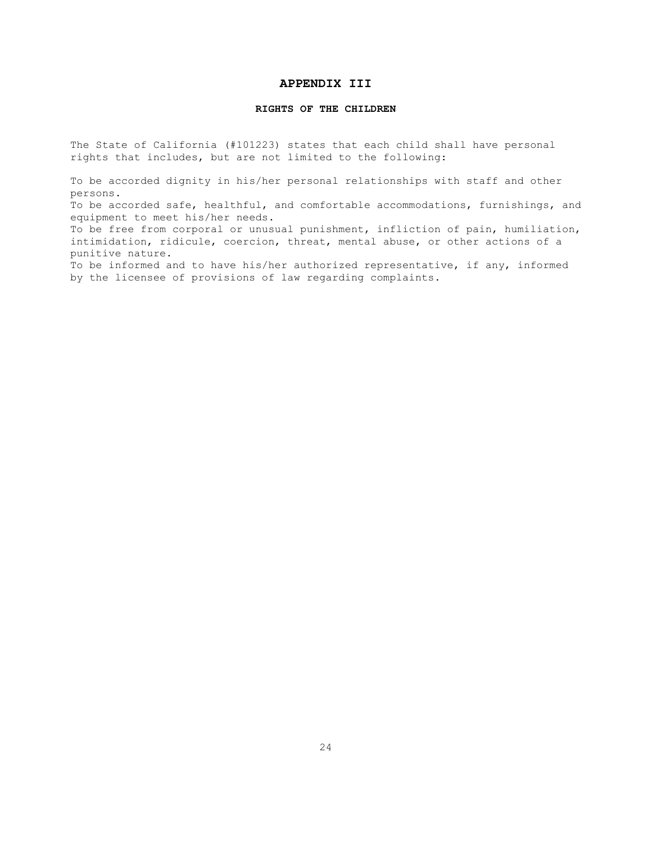## **APPENDIX III**

## **RIGHTS OF THE CHILDREN**

The State of California (#101223) states that each child shall have personal rights that includes, but are not limited to the following:

To be accorded dignity in his/her personal relationships with staff and other persons.

To be accorded safe, healthful, and comfortable accommodations, furnishings, and equipment to meet his/her needs.

To be free from corporal or unusual punishment, infliction of pain, humiliation, intimidation, ridicule, coercion, threat, mental abuse, or other actions of a punitive nature.

To be informed and to have his/her authorized representative, if any, informed by the licensee of provisions of law regarding complaints.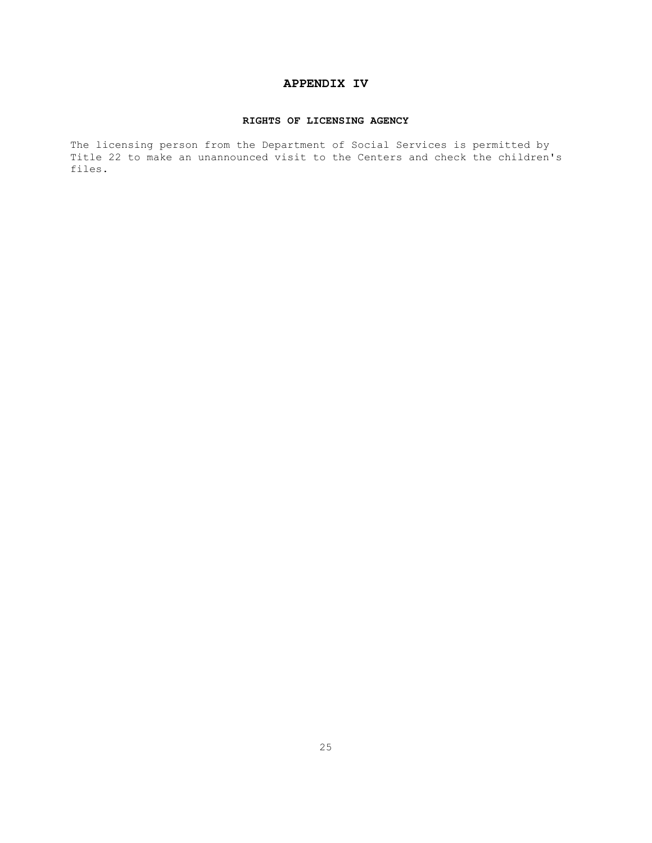## **APPENDIX IV**

## **RIGHTS OF LICENSING AGENCY**

The licensing person from the Department of Social Services is permitted by Title 22 to make an unannounced visit to the Centers and check the children's files.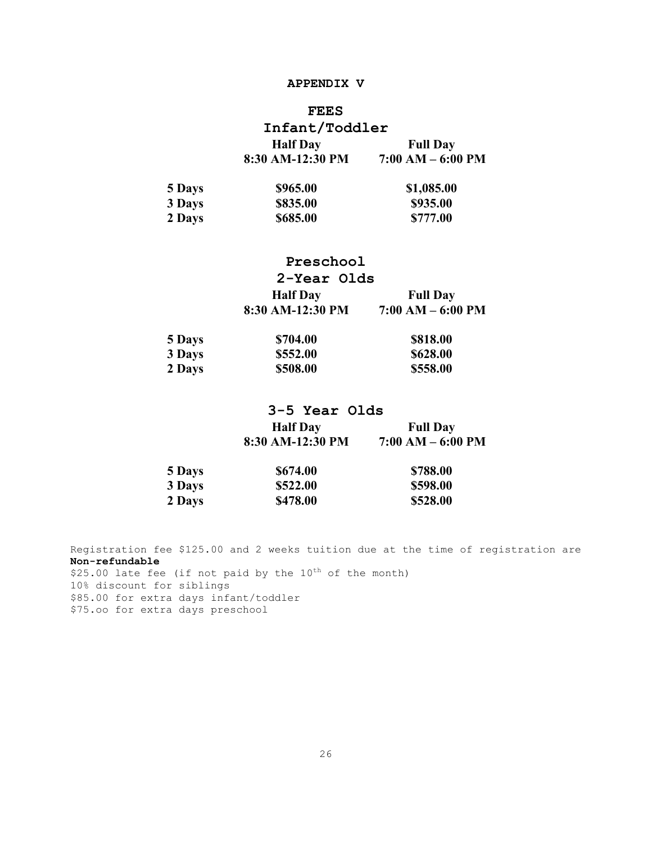## **APPENDIX V**

## **FEES**

| Infant/Toddler   |                     |
|------------------|---------------------|
| <b>Half</b> Day  | <b>Full Day</b>     |
| 8:30 AM-12:30 PM | $7:00 AM - 6:00 PM$ |

| 5 Days | \$965.00 | \$1,085.00 |
|--------|----------|------------|
| 3 Days | \$835.00 | \$935.00   |
| 2 Days | \$685.00 | \$777.00   |

# **Preschool 2-Year Olds Half Day Full Day 8:30 AM-12:30 PM 7:00 AM – 6:00 PM**

| 5 Days | \$704.00 | \$818.00 |
|--------|----------|----------|
| 3 Days | \$552.00 | \$628.00 |
| 2 Days | \$508.00 | \$558.00 |

# **3-5 Year Olds Half Day Full Day 8:30 AM-12:30 PM 7:00 AM – 6:00 PM**

| 5 Days | \$674.00 | \$788.00 |
|--------|----------|----------|
| 3 Days | \$522.00 | \$598.00 |
| 2 Days | \$478.00 | \$528.00 |

Registration fee \$125.00 and 2 weeks tuition due at the time of registration are **Non-refundable**  $$25.00$  late fee (if not paid by the  $10^{th}$  of the month) 10% discount for siblings \$85.00 for extra days infant/toddler \$75.oo for extra days preschool